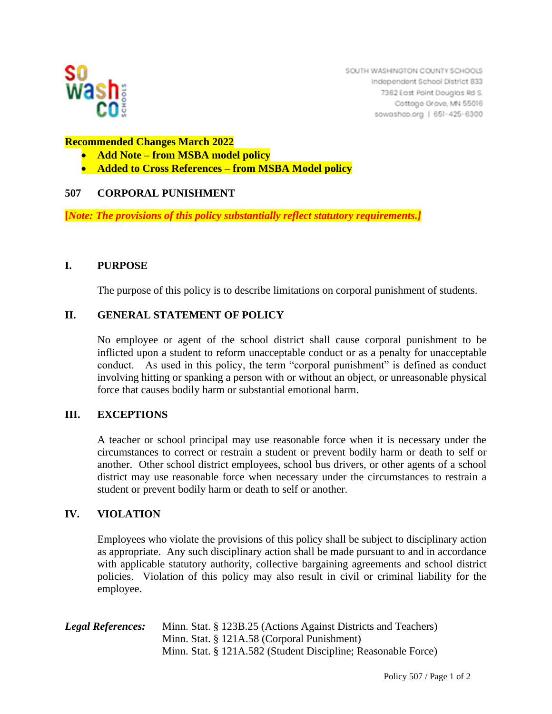

# **Recommended Changes March 2022**

- **Add Note – from MSBA model policy**
- **Added to Cross References – from MSBA Model policy**

## **507 CORPORAL PUNISHMENT**

**[***Note: The provisions of this policy substantially reflect statutory requirements.]*

## **I. PURPOSE**

The purpose of this policy is to describe limitations on corporal punishment of students.

## **II. GENERAL STATEMENT OF POLICY**

No employee or agent of the school district shall cause corporal punishment to be inflicted upon a student to reform unacceptable conduct or as a penalty for unacceptable conduct. As used in this policy, the term "corporal punishment" is defined as conduct involving hitting or spanking a person with or without an object, or unreasonable physical force that causes bodily harm or substantial emotional harm.

## **III. EXCEPTIONS**

A teacher or school principal may use reasonable force when it is necessary under the circumstances to correct or restrain a student or prevent bodily harm or death to self or another. Other school district employees, school bus drivers, or other agents of a school district may use reasonable force when necessary under the circumstances to restrain a student or prevent bodily harm or death to self or another.

## **IV. VIOLATION**

Employees who violate the provisions of this policy shall be subject to disciplinary action as appropriate. Any such disciplinary action shall be made pursuant to and in accordance with applicable statutory authority, collective bargaining agreements and school district policies. Violation of this policy may also result in civil or criminal liability for the employee.

*Legal References:* Minn. Stat. § 123B.25 (Actions Against Districts and Teachers) Minn. Stat. § 121A.58 (Corporal Punishment) Minn. Stat. § 121A.582 (Student Discipline; Reasonable Force)